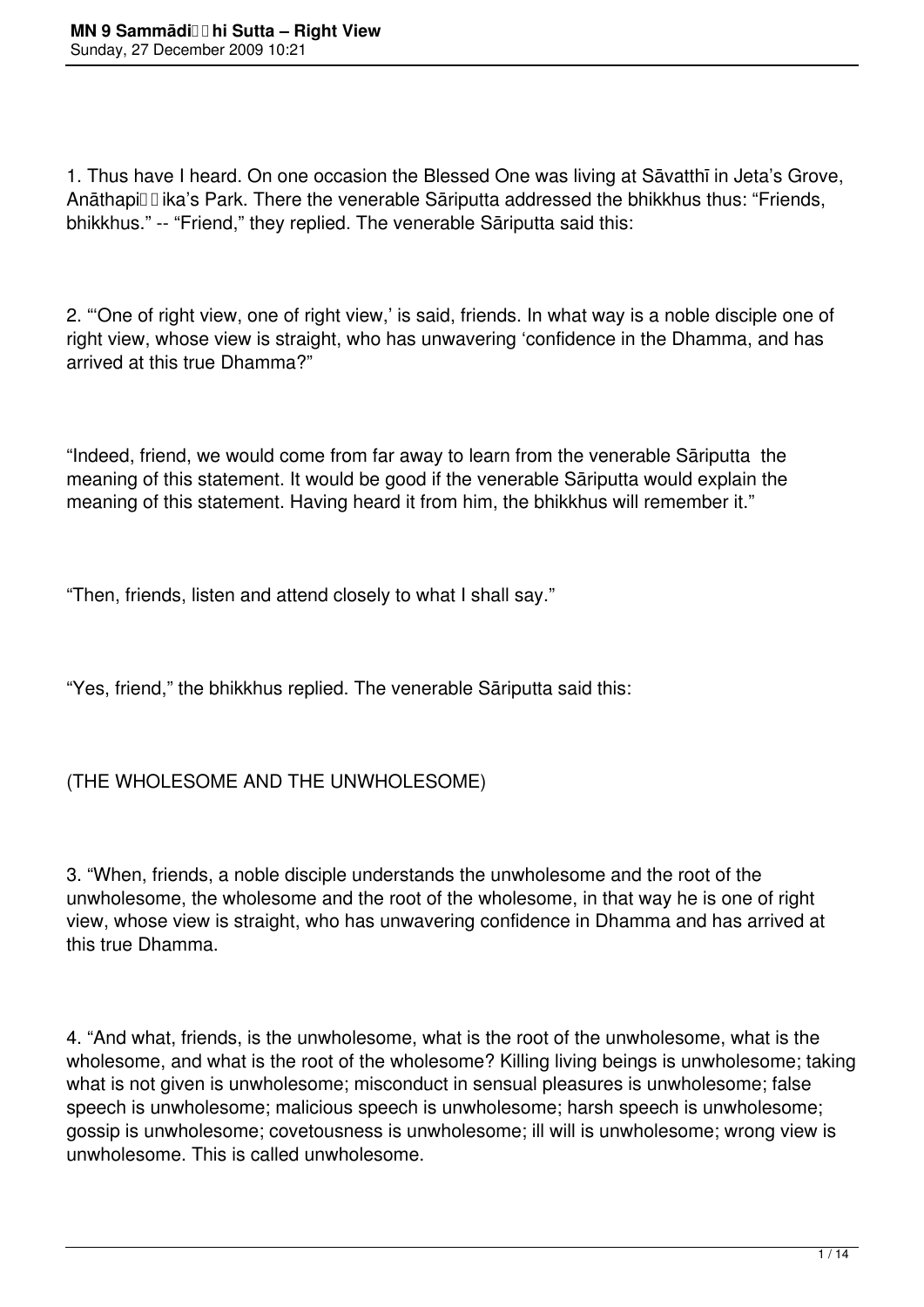1. Thus have I heard. On one occasion the Blessed One was living at Sāvatthī in Jeta's Grove, Anāthapi**ūūika's Park. There the venerable Sāriputta addressed the bhikkhus thus: "Friends,** bhikkhus." -- "Friend," they replied. The venerable Sāriputta said this:

2. "'One of right view, one of right view,' is said, friends. In what way is a noble disciple one of right view, whose view is straight, who has unwavering 'confidence in the Dhamma, and has arrived at this true Dhamma?"

"Indeed, friend, we would come from far away to learn from the venerable Sāriputta the meaning of this statement. It would be good if the venerable Sāriputta would explain the meaning of this statement. Having heard it from him, the bhikkhus will remember it."

"Then, friends, listen and attend closely to what I shall say."

"Yes, friend," the bhikkhus replied. The venerable Sāriputta said this:

## (THE WHOLESOME AND THE UNWHOLESOME)

3. "When, friends, a noble disciple understands the unwholesome and the root of the unwholesome, the wholesome and the root of the wholesome, in that way he is one of right view, whose view is straight, who has unwavering confidence in Dhamma and has arrived at this true Dhamma.

4. "And what, friends, is the unwholesome, what is the root of the unwholesome, what is the wholesome, and what is the root of the wholesome? Killing living beings is unwholesome; taking what is not given is unwholesome; misconduct in sensual pleasures is unwholesome; false speech is unwholesome; malicious speech is unwholesome; harsh speech is unwholesome; gossip is unwholesome; covetousness is unwholesome; ill will is unwholesome; wrong view is unwholesome. This is called unwholesome.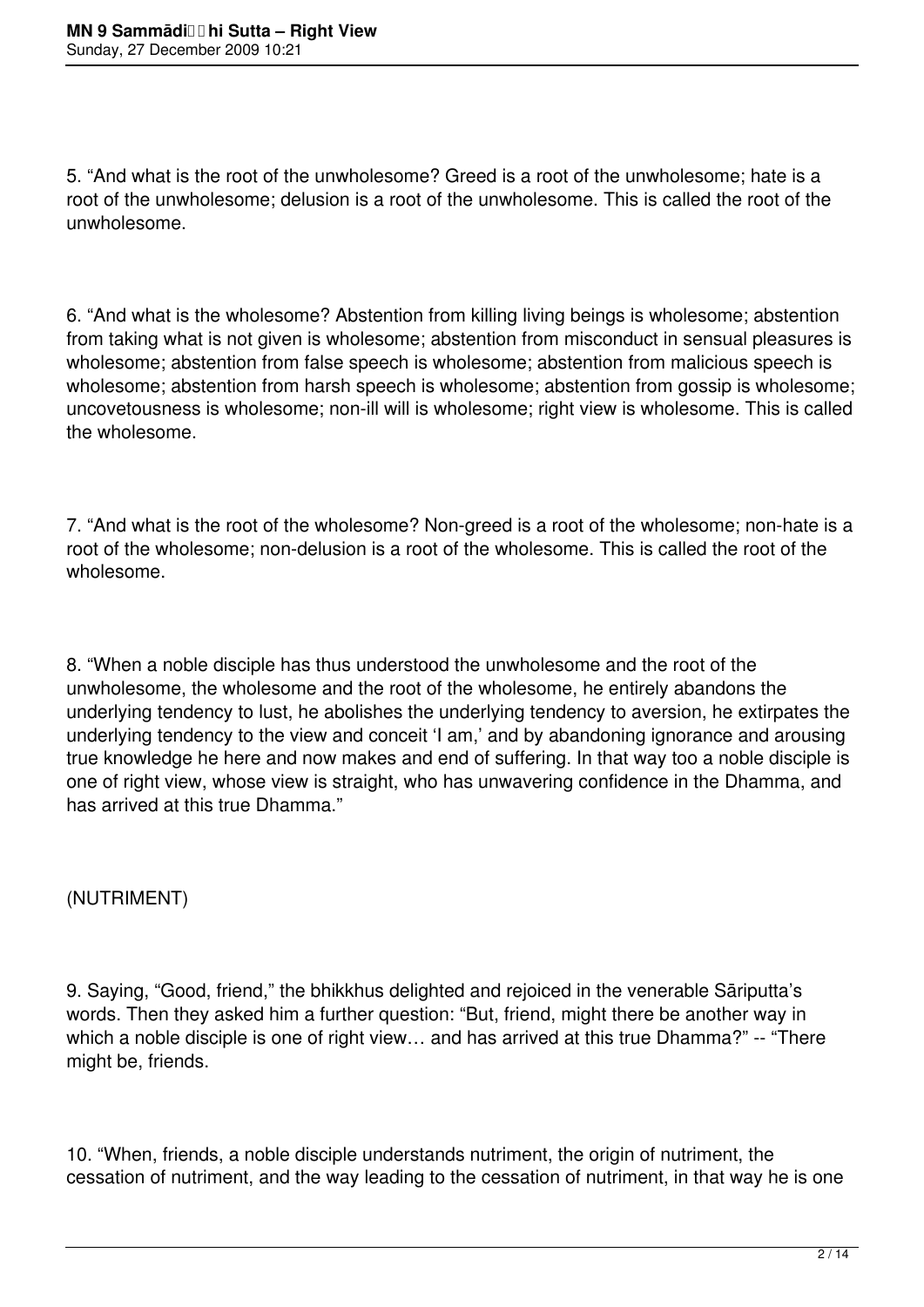5. "And what is the root of the unwholesome? Greed is a root of the unwholesome; hate is a root of the unwholesome; delusion is a root of the unwholesome. This is called the root of the unwholesome.

6. "And what is the wholesome? Abstention from killing living beings is wholesome; abstention from taking what is not given is wholesome; abstention from misconduct in sensual pleasures is wholesome; abstention from false speech is wholesome; abstention from malicious speech is wholesome; abstention from harsh speech is wholesome; abstention from gossip is wholesome; uncovetousness is wholesome; non-ill will is wholesome; right view is wholesome. This is called the wholesome.

7. "And what is the root of the wholesome? Non-greed is a root of the wholesome; non-hate is a root of the wholesome; non-delusion is a root of the wholesome. This is called the root of the wholesome.

8. "When a noble disciple has thus understood the unwholesome and the root of the unwholesome, the wholesome and the root of the wholesome, he entirely abandons the underlying tendency to lust, he abolishes the underlying tendency to aversion, he extirpates the underlying tendency to the view and conceit 'I am,' and by abandoning ignorance and arousing true knowledge he here and now makes and end of suffering. In that way too a noble disciple is one of right view, whose view is straight, who has unwavering confidence in the Dhamma, and has arrived at this true Dhamma."

(NUTRIMENT)

9. Saying, "Good, friend," the bhikkhus delighted and rejoiced in the venerable Sāriputta's words. Then they asked him a further question: "But, friend, might there be another way in which a noble disciple is one of right view... and has arrived at this true Dhamma?" -- "There might be, friends.

10. "When, friends, a noble disciple understands nutriment, the origin of nutriment, the cessation of nutriment, and the way leading to the cessation of nutriment, in that way he is one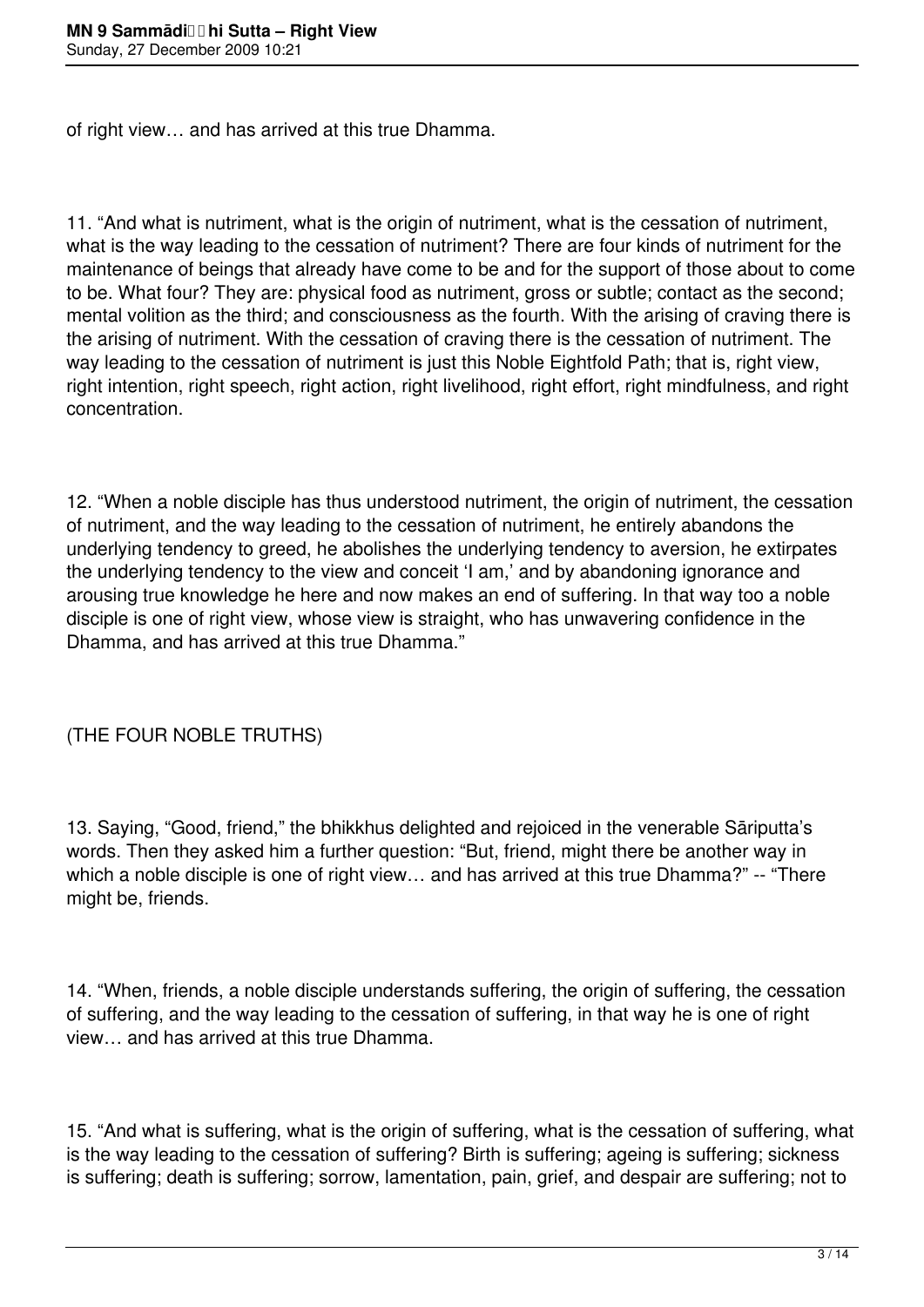of right view… and has arrived at this true Dhamma.

11. "And what is nutriment, what is the origin of nutriment, what is the cessation of nutriment, what is the way leading to the cessation of nutriment? There are four kinds of nutriment for the maintenance of beings that already have come to be and for the support of those about to come to be. What four? They are: physical food as nutriment, gross or subtle; contact as the second; mental volition as the third; and consciousness as the fourth. With the arising of craving there is the arising of nutriment. With the cessation of craving there is the cessation of nutriment. The way leading to the cessation of nutriment is just this Noble Eightfold Path; that is, right view, right intention, right speech, right action, right livelihood, right effort, right mindfulness, and right concentration.

12. "When a noble disciple has thus understood nutriment, the origin of nutriment, the cessation of nutriment, and the way leading to the cessation of nutriment, he entirely abandons the underlying tendency to greed, he abolishes the underlying tendency to aversion, he extirpates the underlying tendency to the view and conceit 'I am,' and by abandoning ignorance and arousing true knowledge he here and now makes an end of suffering. In that way too a noble disciple is one of right view, whose view is straight, who has unwavering confidence in the Dhamma, and has arrived at this true Dhamma."

(THE FOUR NOBLE TRUTHS)

13. Saying, "Good, friend," the bhikkhus delighted and rejoiced in the venerable Sāriputta's words. Then they asked him a further question: "But, friend, might there be another way in which a noble disciple is one of right view… and has arrived at this true Dhamma?" -- "There might be, friends.

14. "When, friends, a noble disciple understands suffering, the origin of suffering, the cessation of suffering, and the way leading to the cessation of suffering, in that way he is one of right view… and has arrived at this true Dhamma.

15. "And what is suffering, what is the origin of suffering, what is the cessation of suffering, what is the way leading to the cessation of suffering? Birth is suffering; ageing is suffering; sickness is suffering; death is suffering; sorrow, lamentation, pain, grief, and despair are suffering; not to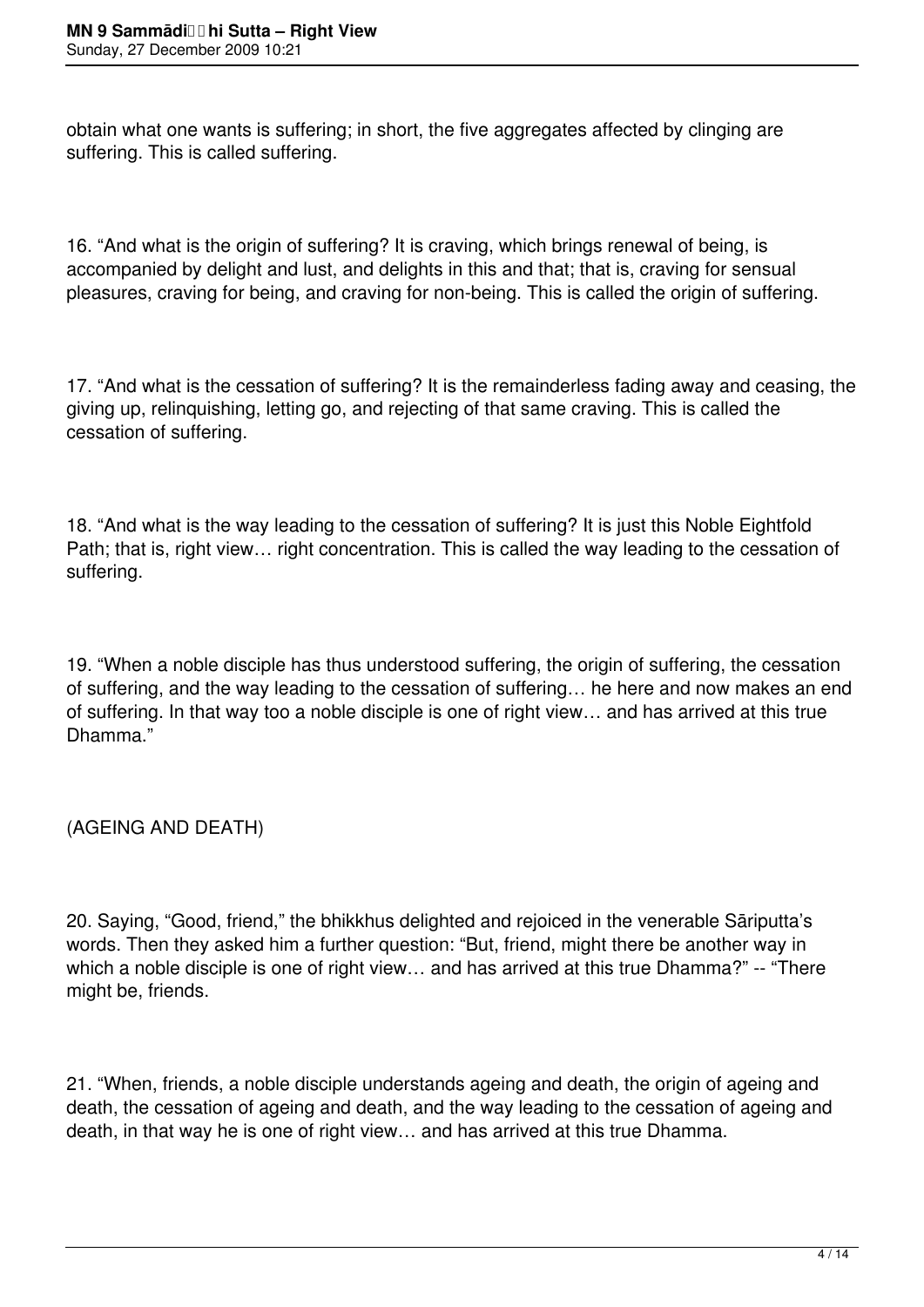obtain what one wants is suffering; in short, the five aggregates affected by clinging are suffering. This is called suffering.

16. "And what is the origin of suffering? It is craving, which brings renewal of being, is accompanied by delight and lust, and delights in this and that; that is, craving for sensual pleasures, craving for being, and craving for non-being. This is called the origin of suffering.

17. "And what is the cessation of suffering? It is the remainderless fading away and ceasing, the giving up, relinquishing, letting go, and rejecting of that same craving. This is called the cessation of suffering.

18. "And what is the way leading to the cessation of suffering? It is just this Noble Eightfold Path; that is, right view… right concentration. This is called the way leading to the cessation of suffering.

19. "When a noble disciple has thus understood suffering, the origin of suffering, the cessation of suffering, and the way leading to the cessation of suffering… he here and now makes an end of suffering. In that way too a noble disciple is one of right view… and has arrived at this true Dhamma."

(AGEING AND DEATH)

20. Saying, "Good, friend," the bhikkhus delighted and rejoiced in the venerable Sāriputta's words. Then they asked him a further question: "But, friend, might there be another way in which a noble disciple is one of right view... and has arrived at this true Dhamma?" -- "There might be, friends.

21. "When, friends, a noble disciple understands ageing and death, the origin of ageing and death, the cessation of ageing and death, and the way leading to the cessation of ageing and death, in that way he is one of right view… and has arrived at this true Dhamma.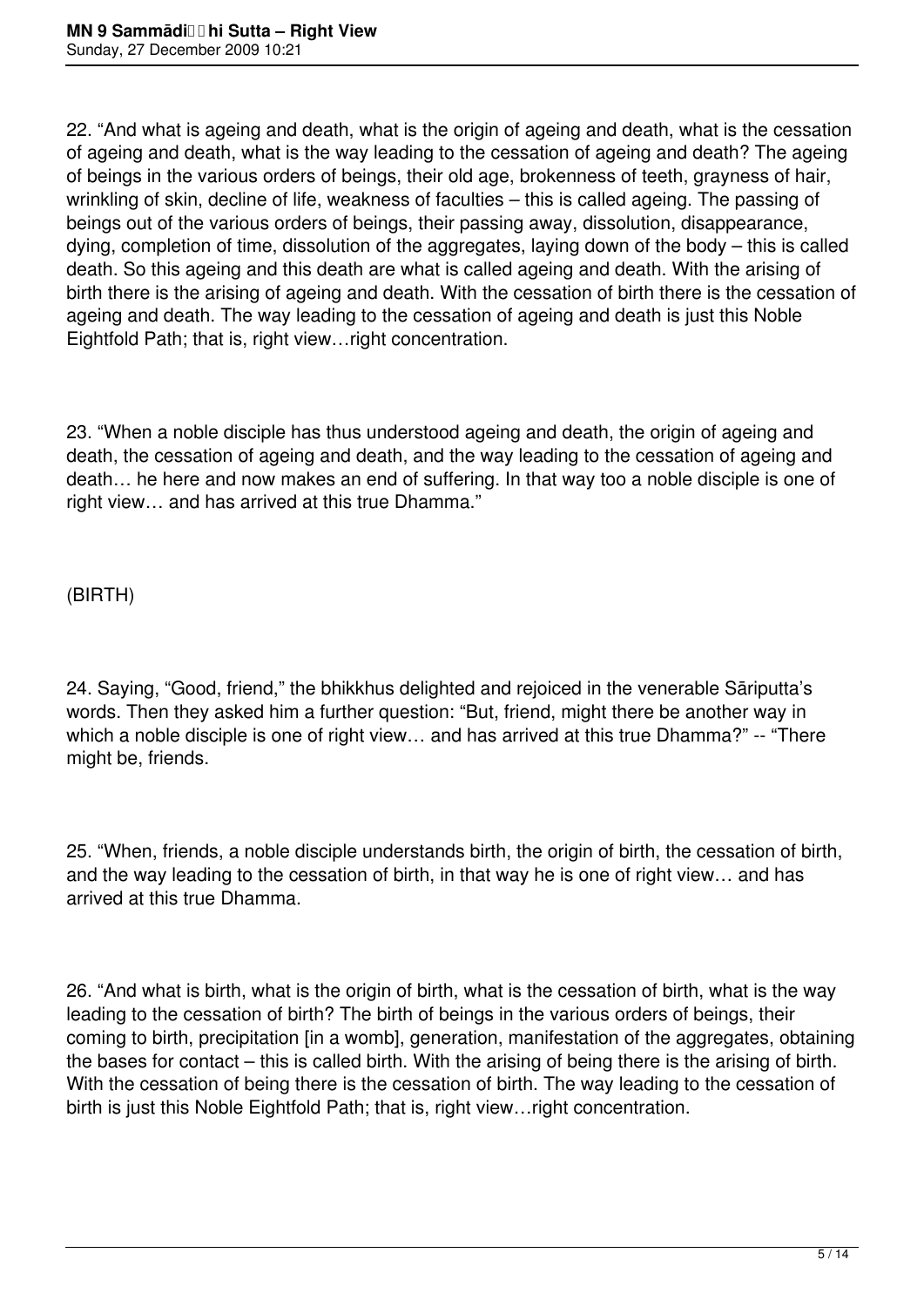22. "And what is ageing and death, what is the origin of ageing and death, what is the cessation of ageing and death, what is the way leading to the cessation of ageing and death? The ageing of beings in the various orders of beings, their old age, brokenness of teeth, grayness of hair, wrinkling of skin, decline of life, weakness of faculties – this is called ageing. The passing of beings out of the various orders of beings, their passing away, dissolution, disappearance, dying, completion of time, dissolution of the aggregates, laying down of the body – this is called death. So this ageing and this death are what is called ageing and death. With the arising of birth there is the arising of ageing and death. With the cessation of birth there is the cessation of ageing and death. The way leading to the cessation of ageing and death is just this Noble Eightfold Path; that is, right view…right concentration.

23. "When a noble disciple has thus understood ageing and death, the origin of ageing and death, the cessation of ageing and death, and the way leading to the cessation of ageing and death… he here and now makes an end of suffering. In that way too a noble disciple is one of right view… and has arrived at this true Dhamma."

(BIRTH)

24. Saying, "Good, friend," the bhikkhus delighted and rejoiced in the venerable Sāriputta's words. Then they asked him a further question: "But, friend, might there be another way in which a noble disciple is one of right view... and has arrived at this true Dhamma?" -- "There might be, friends.

25. "When, friends, a noble disciple understands birth, the origin of birth, the cessation of birth, and the way leading to the cessation of birth, in that way he is one of right view… and has arrived at this true Dhamma.

26. "And what is birth, what is the origin of birth, what is the cessation of birth, what is the way leading to the cessation of birth? The birth of beings in the various orders of beings, their coming to birth, precipitation [in a womb], generation, manifestation of the aggregates, obtaining the bases for contact – this is called birth. With the arising of being there is the arising of birth. With the cessation of being there is the cessation of birth. The way leading to the cessation of birth is just this Noble Eightfold Path; that is, right view…right concentration.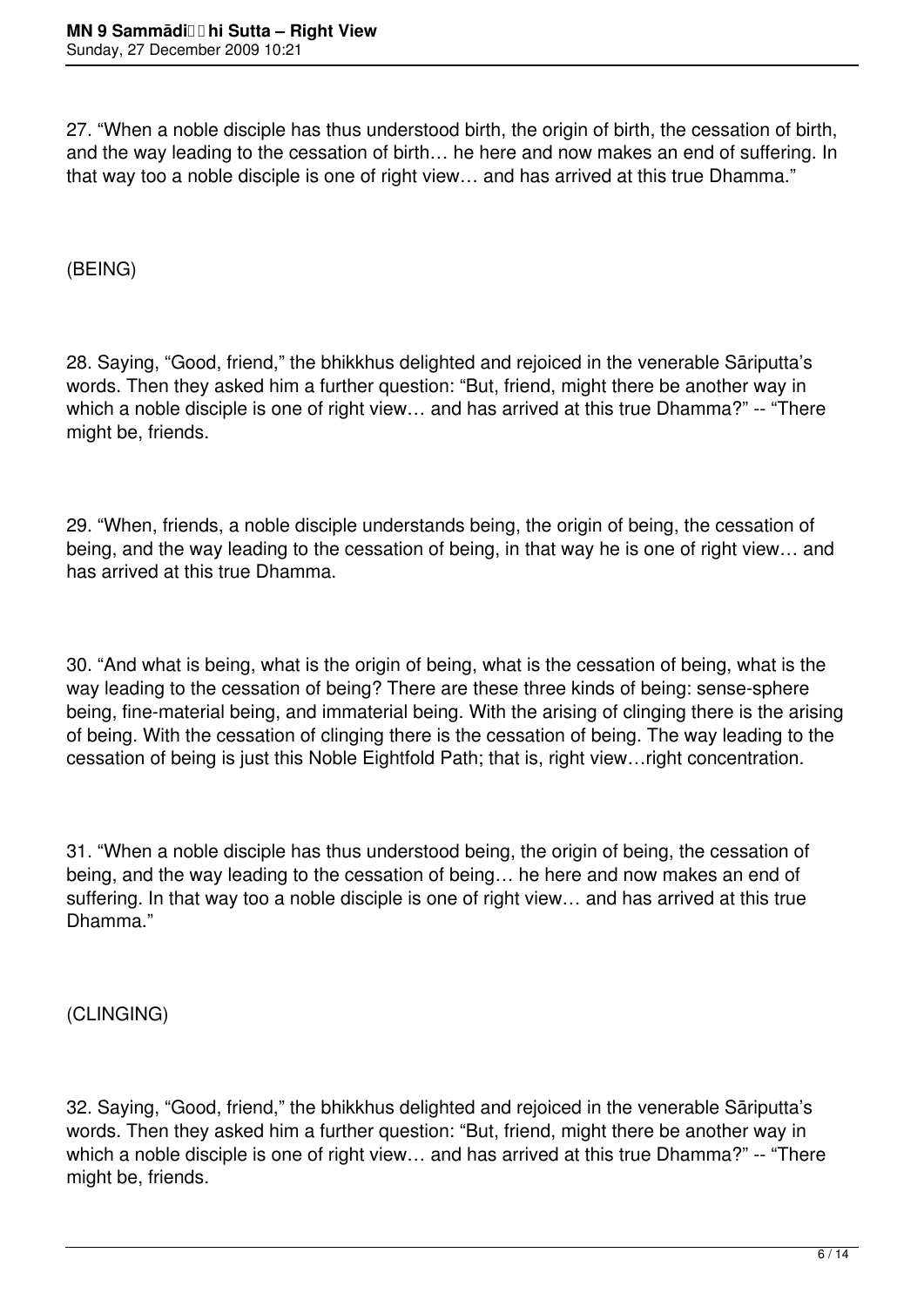27. "When a noble disciple has thus understood birth, the origin of birth, the cessation of birth, and the way leading to the cessation of birth… he here and now makes an end of suffering. In that way too a noble disciple is one of right view… and has arrived at this true Dhamma."

(BEING)

28. Saying, "Good, friend," the bhikkhus delighted and rejoiced in the venerable Sāriputta's words. Then they asked him a further question: "But, friend, might there be another way in which a noble disciple is one of right view… and has arrived at this true Dhamma?" -- "There might be, friends.

29. "When, friends, a noble disciple understands being, the origin of being, the cessation of being, and the way leading to the cessation of being, in that way he is one of right view… and has arrived at this true Dhamma.

30. "And what is being, what is the origin of being, what is the cessation of being, what is the way leading to the cessation of being? There are these three kinds of being: sense-sphere being, fine-material being, and immaterial being. With the arising of clinging there is the arising of being. With the cessation of clinging there is the cessation of being. The way leading to the cessation of being is just this Noble Eightfold Path; that is, right view…right concentration.

31. "When a noble disciple has thus understood being, the origin of being, the cessation of being, and the way leading to the cessation of being… he here and now makes an end of suffering. In that way too a noble disciple is one of right view… and has arrived at this true Dhamma."

(CLINGING)

32. Saying, "Good, friend," the bhikkhus delighted and rejoiced in the venerable Sāriputta's words. Then they asked him a further question: "But, friend, might there be another way in which a noble disciple is one of right view... and has arrived at this true Dhamma?" -- "There might be, friends.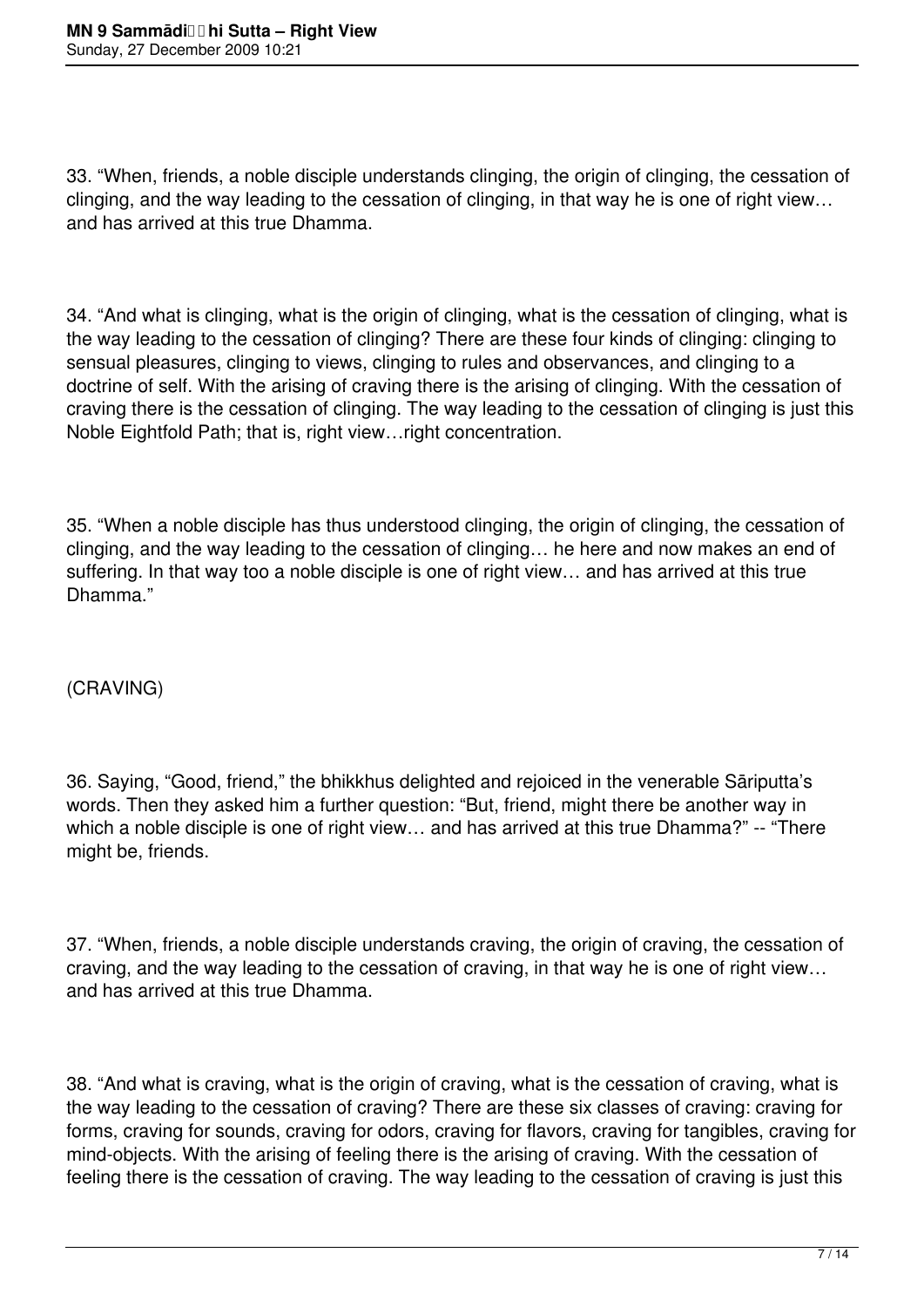33. "When, friends, a noble disciple understands clinging, the origin of clinging, the cessation of clinging, and the way leading to the cessation of clinging, in that way he is one of right view… and has arrived at this true Dhamma.

34. "And what is clinging, what is the origin of clinging, what is the cessation of clinging, what is the way leading to the cessation of clinging? There are these four kinds of clinging: clinging to sensual pleasures, clinging to views, clinging to rules and observances, and clinging to a doctrine of self. With the arising of craving there is the arising of clinging. With the cessation of craving there is the cessation of clinging. The way leading to the cessation of clinging is just this Noble Eightfold Path; that is, right view…right concentration.

35. "When a noble disciple has thus understood clinging, the origin of clinging, the cessation of clinging, and the way leading to the cessation of clinging… he here and now makes an end of suffering. In that way too a noble disciple is one of right view… and has arrived at this true Dhamma."

(CRAVING)

36. Saying, "Good, friend," the bhikkhus delighted and rejoiced in the venerable Sāriputta's words. Then they asked him a further question: "But, friend, might there be another way in which a noble disciple is one of right view… and has arrived at this true Dhamma?" -- "There might be, friends.

37. "When, friends, a noble disciple understands craving, the origin of craving, the cessation of craving, and the way leading to the cessation of craving, in that way he is one of right view… and has arrived at this true Dhamma.

38. "And what is craving, what is the origin of craving, what is the cessation of craving, what is the way leading to the cessation of craving? There are these six classes of craving: craving for forms, craving for sounds, craving for odors, craving for flavors, craving for tangibles, craving for mind-objects. With the arising of feeling there is the arising of craving. With the cessation of feeling there is the cessation of craving. The way leading to the cessation of craving is just this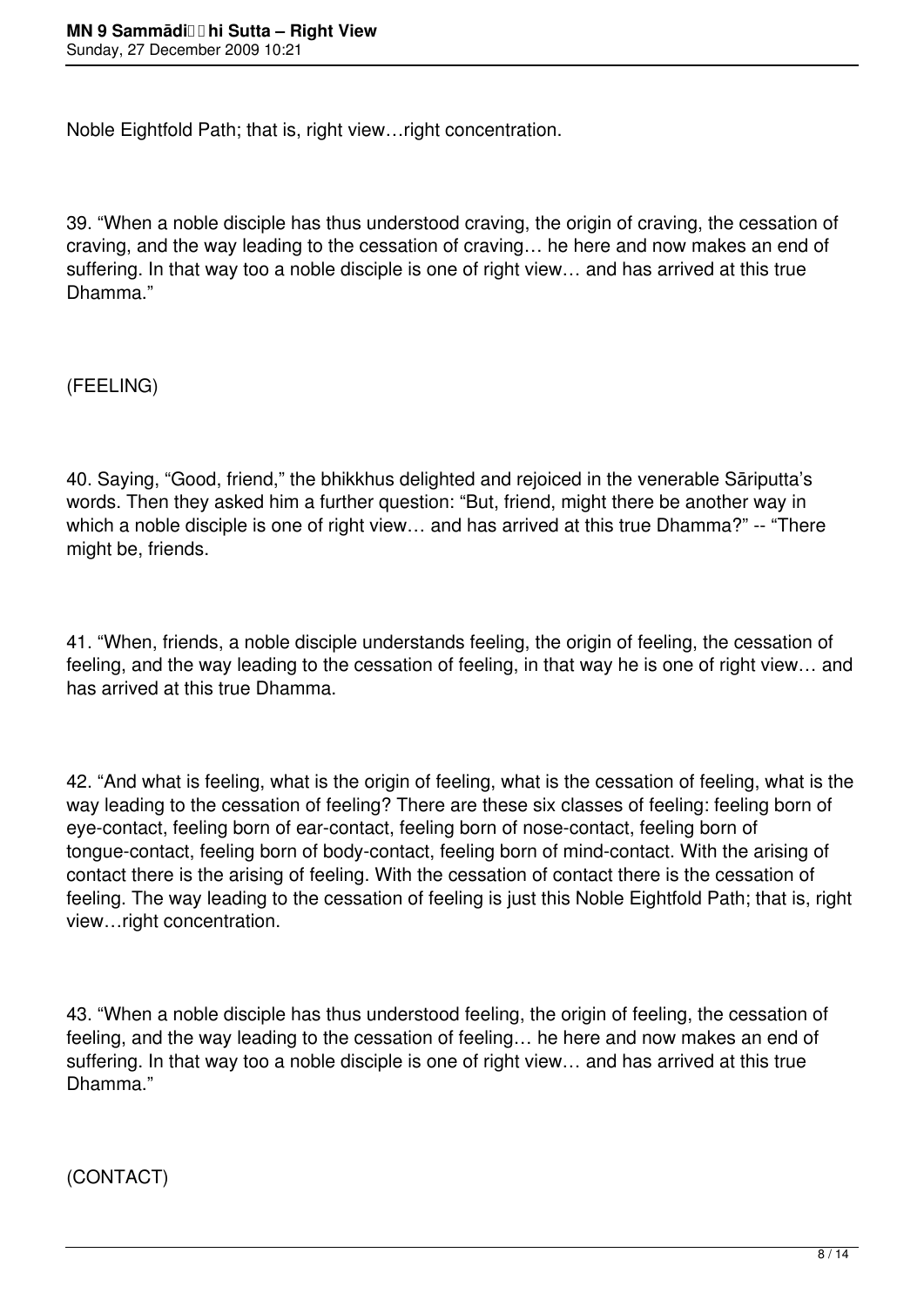Noble Eightfold Path; that is, right view…right concentration.

39. "When a noble disciple has thus understood craving, the origin of craving, the cessation of craving, and the way leading to the cessation of craving… he here and now makes an end of suffering. In that way too a noble disciple is one of right view… and has arrived at this true Dhamma."

(FEELING)

40. Saying, "Good, friend," the bhikkhus delighted and rejoiced in the venerable Sāriputta's words. Then they asked him a further question: "But, friend, might there be another way in which a noble disciple is one of right view… and has arrived at this true Dhamma?" -- "There might be, friends.

41. "When, friends, a noble disciple understands feeling, the origin of feeling, the cessation of feeling, and the way leading to the cessation of feeling, in that way he is one of right view… and has arrived at this true Dhamma.

42. "And what is feeling, what is the origin of feeling, what is the cessation of feeling, what is the way leading to the cessation of feeling? There are these six classes of feeling: feeling born of eye-contact, feeling born of ear-contact, feeling born of nose-contact, feeling born of tongue-contact, feeling born of body-contact, feeling born of mind-contact. With the arising of contact there is the arising of feeling. With the cessation of contact there is the cessation of feeling. The way leading to the cessation of feeling is just this Noble Eightfold Path; that is, right view…right concentration.

43. "When a noble disciple has thus understood feeling, the origin of feeling, the cessation of feeling, and the way leading to the cessation of feeling… he here and now makes an end of suffering. In that way too a noble disciple is one of right view… and has arrived at this true Dhamma."

(CONTACT)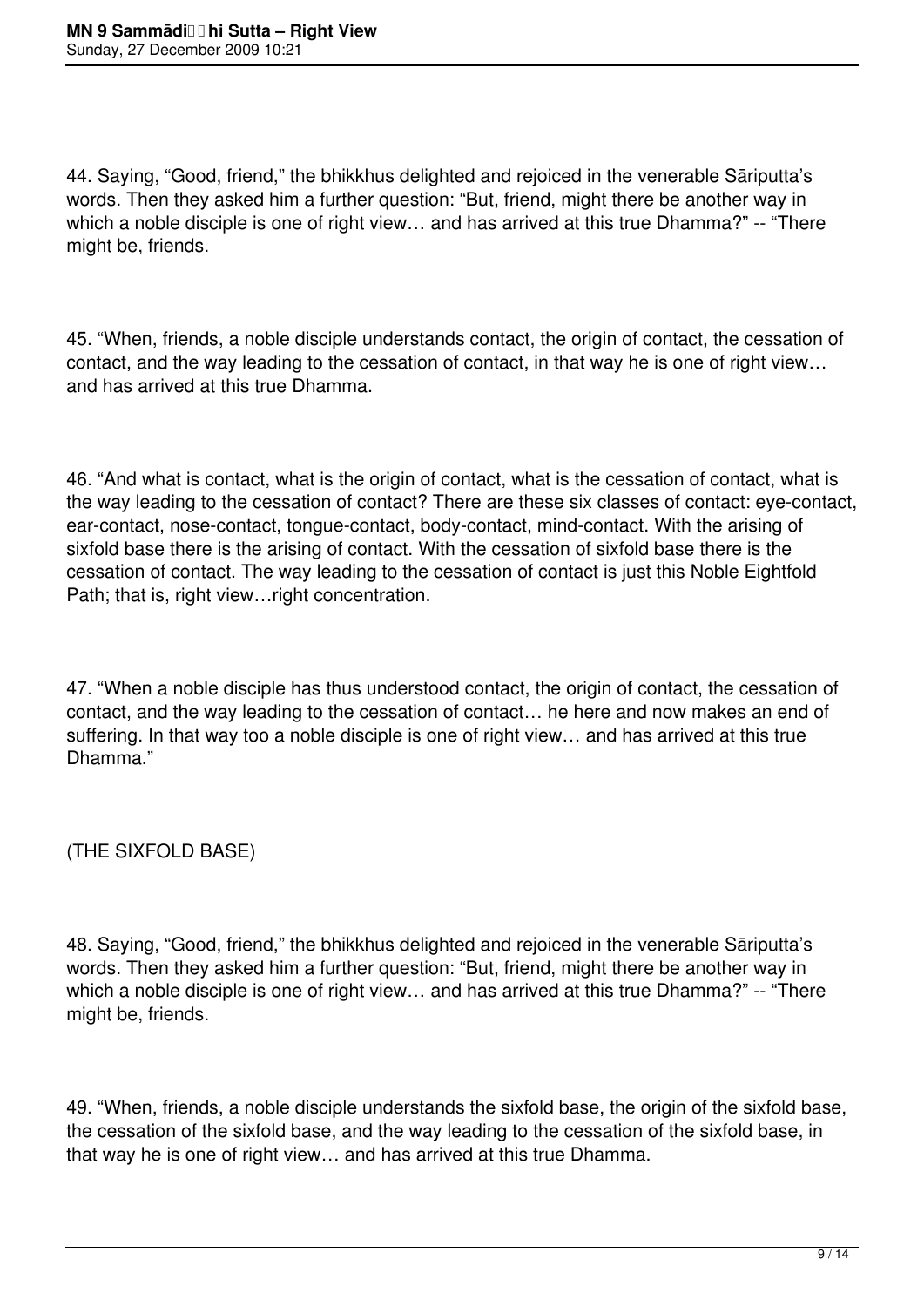44. Saying, "Good, friend," the bhikkhus delighted and rejoiced in the venerable Sāriputta's words. Then they asked him a further question: "But, friend, might there be another way in which a noble disciple is one of right view... and has arrived at this true Dhamma?" -- "There might be, friends.

45. "When, friends, a noble disciple understands contact, the origin of contact, the cessation of contact, and the way leading to the cessation of contact, in that way he is one of right view… and has arrived at this true Dhamma.

46. "And what is contact, what is the origin of contact, what is the cessation of contact, what is the way leading to the cessation of contact? There are these six classes of contact: eye-contact, ear-contact, nose-contact, tongue-contact, body-contact, mind-contact. With the arising of sixfold base there is the arising of contact. With the cessation of sixfold base there is the cessation of contact. The way leading to the cessation of contact is just this Noble Eightfold Path; that is, right view…right concentration.

47. "When a noble disciple has thus understood contact, the origin of contact, the cessation of contact, and the way leading to the cessation of contact… he here and now makes an end of suffering. In that way too a noble disciple is one of right view… and has arrived at this true Dhamma."

(THE SIXFOLD BASE)

48. Saying, "Good, friend," the bhikkhus delighted and rejoiced in the venerable Sāriputta's words. Then they asked him a further question: "But, friend, might there be another way in which a noble disciple is one of right view... and has arrived at this true Dhamma?" -- "There might be, friends.

49. "When, friends, a noble disciple understands the sixfold base, the origin of the sixfold base, the cessation of the sixfold base, and the way leading to the cessation of the sixfold base, in that way he is one of right view… and has arrived at this true Dhamma.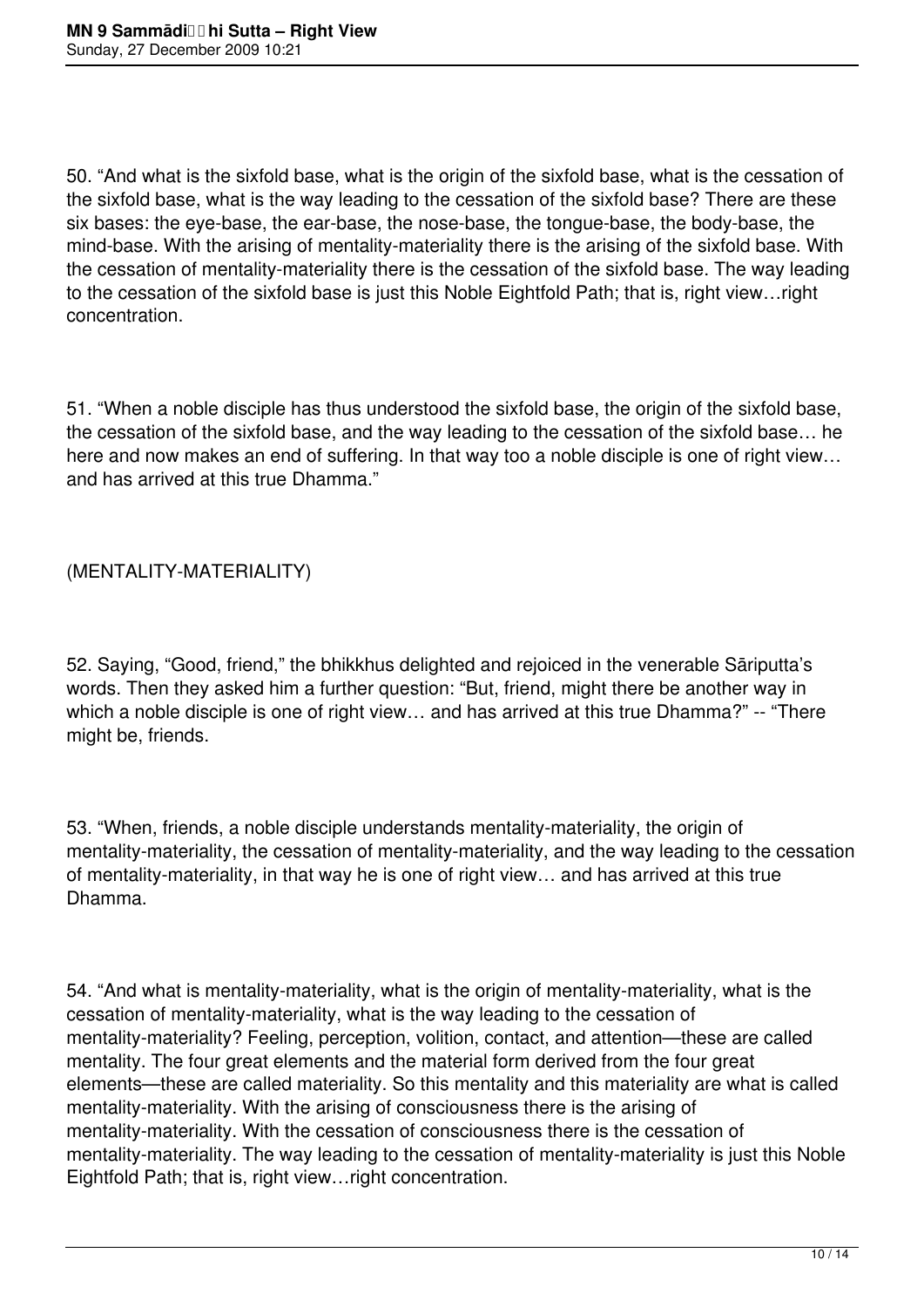50. "And what is the sixfold base, what is the origin of the sixfold base, what is the cessation of the sixfold base, what is the way leading to the cessation of the sixfold base? There are these six bases: the eye-base, the ear-base, the nose-base, the tongue-base, the body-base, the mind-base. With the arising of mentality-materiality there is the arising of the sixfold base. With the cessation of mentality-materiality there is the cessation of the sixfold base. The way leading to the cessation of the sixfold base is just this Noble Eightfold Path; that is, right view…right concentration.

51. "When a noble disciple has thus understood the sixfold base, the origin of the sixfold base, the cessation of the sixfold base, and the way leading to the cessation of the sixfold base… he here and now makes an end of suffering. In that way too a noble disciple is one of right view… and has arrived at this true Dhamma."

## (MENTALITY-MATERIALITY)

52. Saying, "Good, friend," the bhikkhus delighted and rejoiced in the venerable Sāriputta's words. Then they asked him a further question: "But, friend, might there be another way in which a noble disciple is one of right view... and has arrived at this true Dhamma?" -- "There might be, friends.

53. "When, friends, a noble disciple understands mentality-materiality, the origin of mentality-materiality, the cessation of mentality-materiality, and the way leading to the cessation of mentality-materiality, in that way he is one of right view… and has arrived at this true Dhamma.

54. "And what is mentality-materiality, what is the origin of mentality-materiality, what is the cessation of mentality-materiality, what is the way leading to the cessation of mentality-materiality? Feeling, perception, volition, contact, and attention—these are called mentality. The four great elements and the material form derived from the four great elements—these are called materiality. So this mentality and this materiality are what is called mentality-materiality. With the arising of consciousness there is the arising of mentality-materiality. With the cessation of consciousness there is the cessation of mentality-materiality. The way leading to the cessation of mentality-materiality is just this Noble Eightfold Path; that is, right view…right concentration.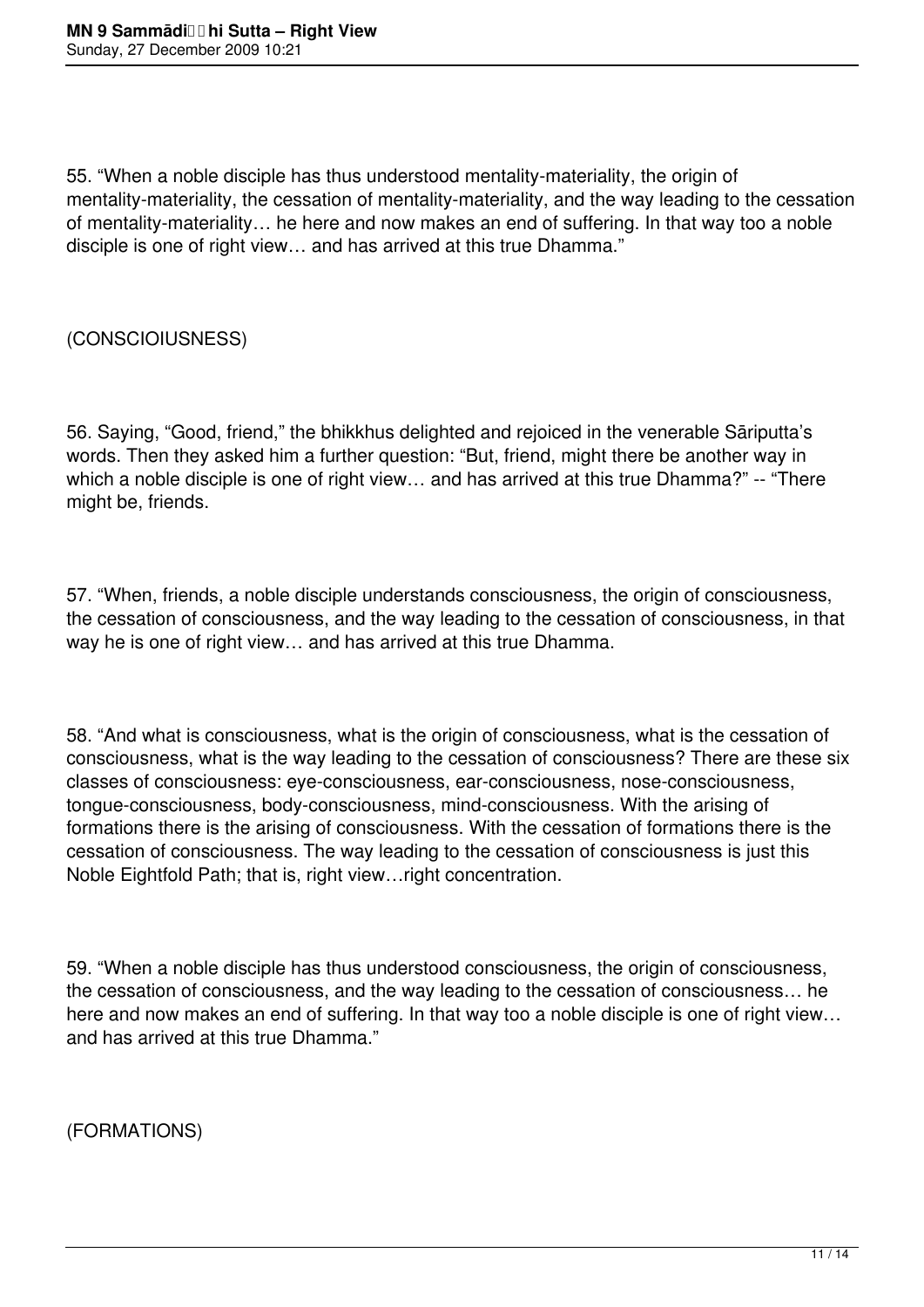55. "When a noble disciple has thus understood mentality-materiality, the origin of mentality-materiality, the cessation of mentality-materiality, and the way leading to the cessation of mentality-materiality… he here and now makes an end of suffering. In that way too a noble disciple is one of right view… and has arrived at this true Dhamma."

(CONSCIOIUSNESS)

56. Saying, "Good, friend," the bhikkhus delighted and rejoiced in the venerable Sāriputta's words. Then they asked him a further question: "But, friend, might there be another way in which a noble disciple is one of right view... and has arrived at this true Dhamma?" -- "There might be, friends.

57. "When, friends, a noble disciple understands consciousness, the origin of consciousness, the cessation of consciousness, and the way leading to the cessation of consciousness, in that way he is one of right view… and has arrived at this true Dhamma.

58. "And what is consciousness, what is the origin of consciousness, what is the cessation of consciousness, what is the way leading to the cessation of consciousness? There are these six classes of consciousness: eye-consciousness, ear-consciousness, nose-consciousness, tongue-consciousness, body-consciousness, mind-consciousness. With the arising of formations there is the arising of consciousness. With the cessation of formations there is the cessation of consciousness. The way leading to the cessation of consciousness is just this Noble Eightfold Path; that is, right view…right concentration.

59. "When a noble disciple has thus understood consciousness, the origin of consciousness, the cessation of consciousness, and the way leading to the cessation of consciousness… he here and now makes an end of suffering. In that way too a noble disciple is one of right view… and has arrived at this true Dhamma."

(FORMATIONS)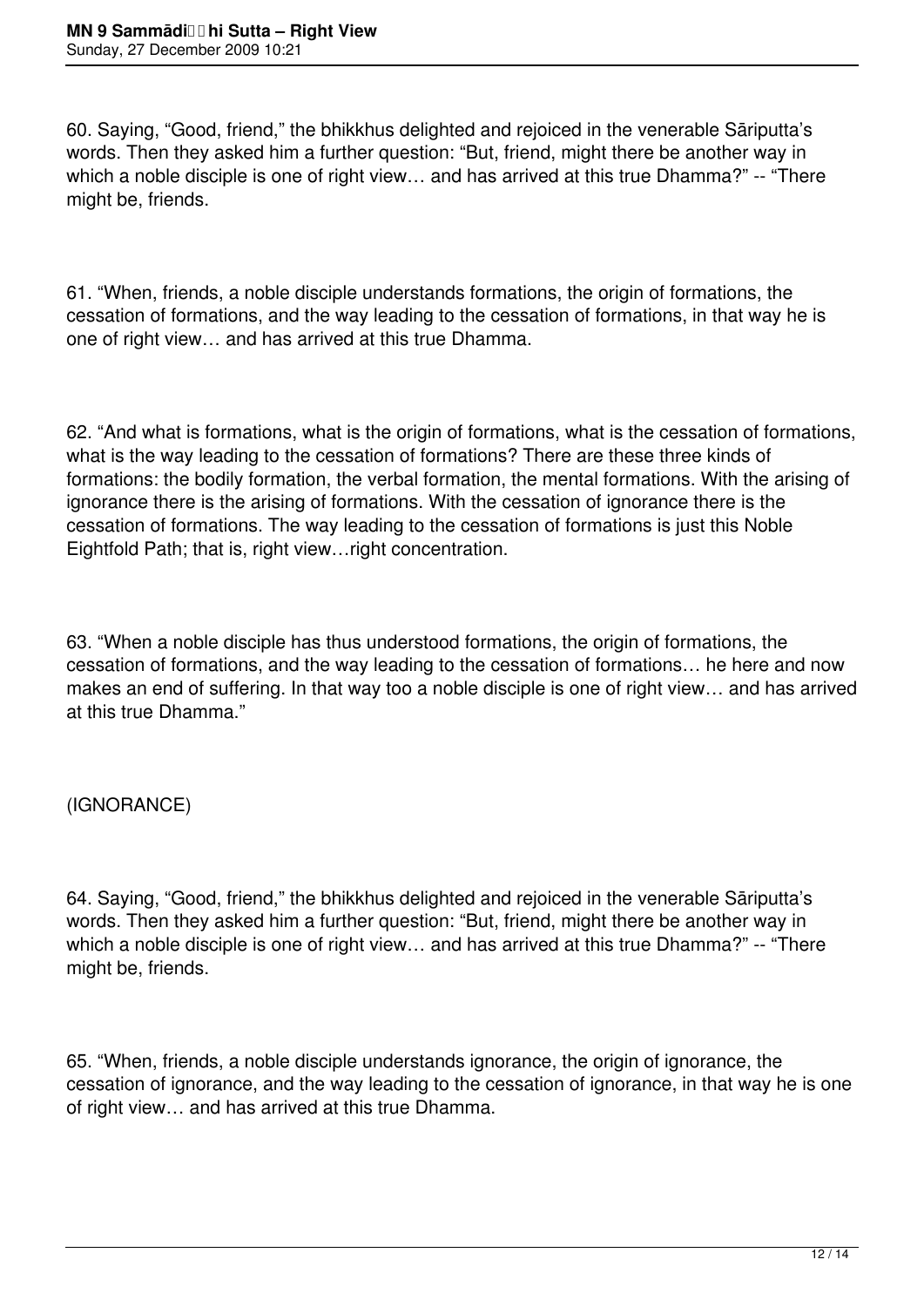60. Saying, "Good, friend," the bhikkhus delighted and rejoiced in the venerable Sāriputta's words. Then they asked him a further question: "But, friend, might there be another way in which a noble disciple is one of right view... and has arrived at this true Dhamma?" -- "There might be, friends.

61. "When, friends, a noble disciple understands formations, the origin of formations, the cessation of formations, and the way leading to the cessation of formations, in that way he is one of right view… and has arrived at this true Dhamma.

62. "And what is formations, what is the origin of formations, what is the cessation of formations, what is the way leading to the cessation of formations? There are these three kinds of formations: the bodily formation, the verbal formation, the mental formations. With the arising of ignorance there is the arising of formations. With the cessation of ignorance there is the cessation of formations. The way leading to the cessation of formations is just this Noble Eightfold Path; that is, right view…right concentration.

63. "When a noble disciple has thus understood formations, the origin of formations, the cessation of formations, and the way leading to the cessation of formations… he here and now makes an end of suffering. In that way too a noble disciple is one of right view… and has arrived at this true Dhamma."

(IGNORANCE)

64. Saying, "Good, friend," the bhikkhus delighted and rejoiced in the venerable Sāriputta's words. Then they asked him a further question: "But, friend, might there be another way in which a noble disciple is one of right view… and has arrived at this true Dhamma?" -- "There might be, friends.

65. "When, friends, a noble disciple understands ignorance, the origin of ignorance, the cessation of ignorance, and the way leading to the cessation of ignorance, in that way he is one of right view… and has arrived at this true Dhamma.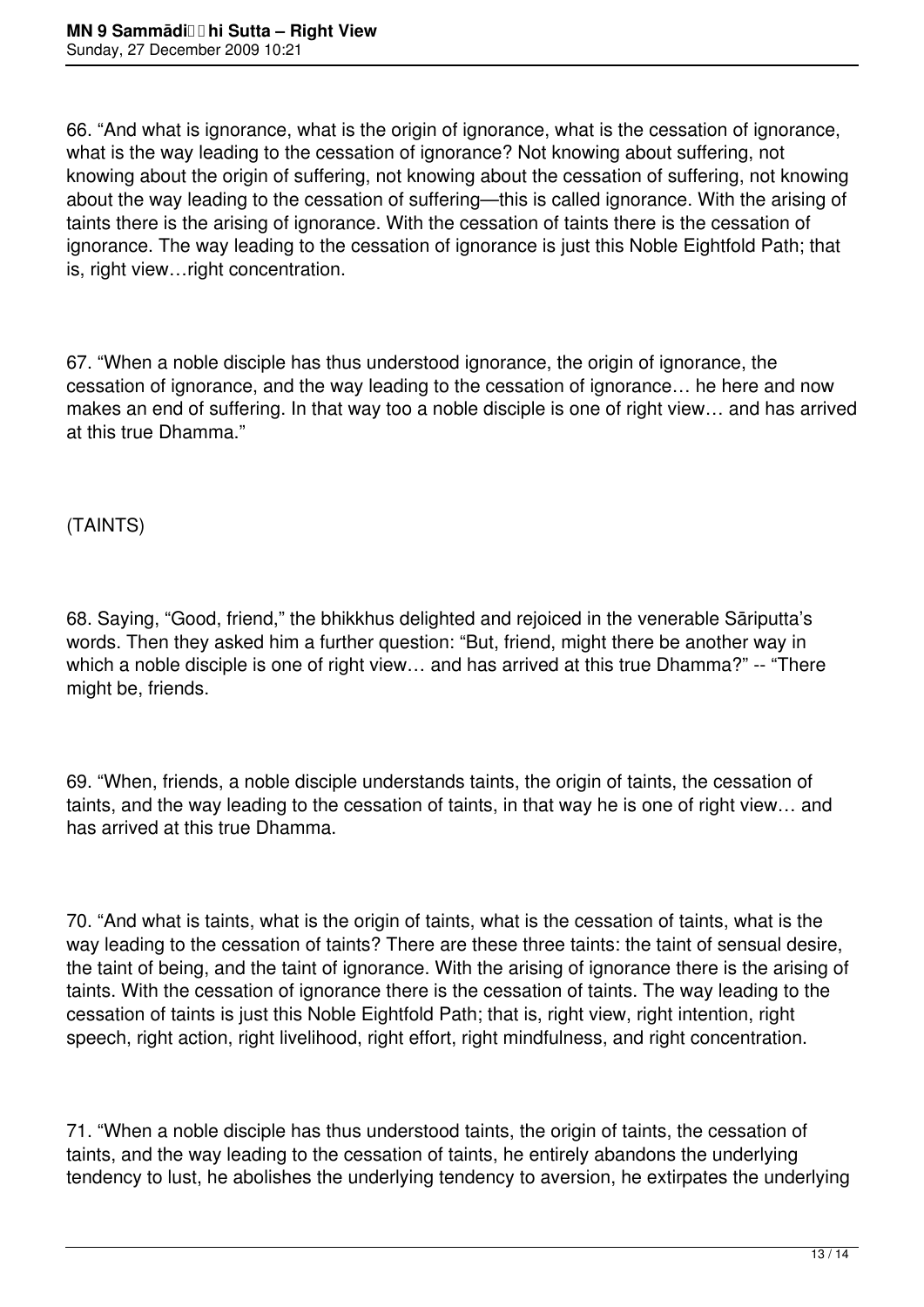66. "And what is ignorance, what is the origin of ignorance, what is the cessation of ignorance, what is the way leading to the cessation of ignorance? Not knowing about suffering, not knowing about the origin of suffering, not knowing about the cessation of suffering, not knowing about the way leading to the cessation of suffering—this is called ignorance. With the arising of taints there is the arising of ignorance. With the cessation of taints there is the cessation of ignorance. The way leading to the cessation of ignorance is just this Noble Eightfold Path; that is, right view…right concentration.

67. "When a noble disciple has thus understood ignorance, the origin of ignorance, the cessation of ignorance, and the way leading to the cessation of ignorance… he here and now makes an end of suffering. In that way too a noble disciple is one of right view… and has arrived at this true Dhamma."

(TAINTS)

68. Saying, "Good, friend," the bhikkhus delighted and rejoiced in the venerable Sāriputta's words. Then they asked him a further question: "But, friend, might there be another way in which a noble disciple is one of right view… and has arrived at this true Dhamma?" -- "There might be, friends.

69. "When, friends, a noble disciple understands taints, the origin of taints, the cessation of taints, and the way leading to the cessation of taints, in that way he is one of right view… and has arrived at this true Dhamma.

70. "And what is taints, what is the origin of taints, what is the cessation of taints, what is the way leading to the cessation of taints? There are these three taints: the taint of sensual desire, the taint of being, and the taint of ignorance. With the arising of ignorance there is the arising of taints. With the cessation of ignorance there is the cessation of taints. The way leading to the cessation of taints is just this Noble Eightfold Path; that is, right view, right intention, right speech, right action, right livelihood, right effort, right mindfulness, and right concentration.

71. "When a noble disciple has thus understood taints, the origin of taints, the cessation of taints, and the way leading to the cessation of taints, he entirely abandons the underlying tendency to lust, he abolishes the underlying tendency to aversion, he extirpates the underlying